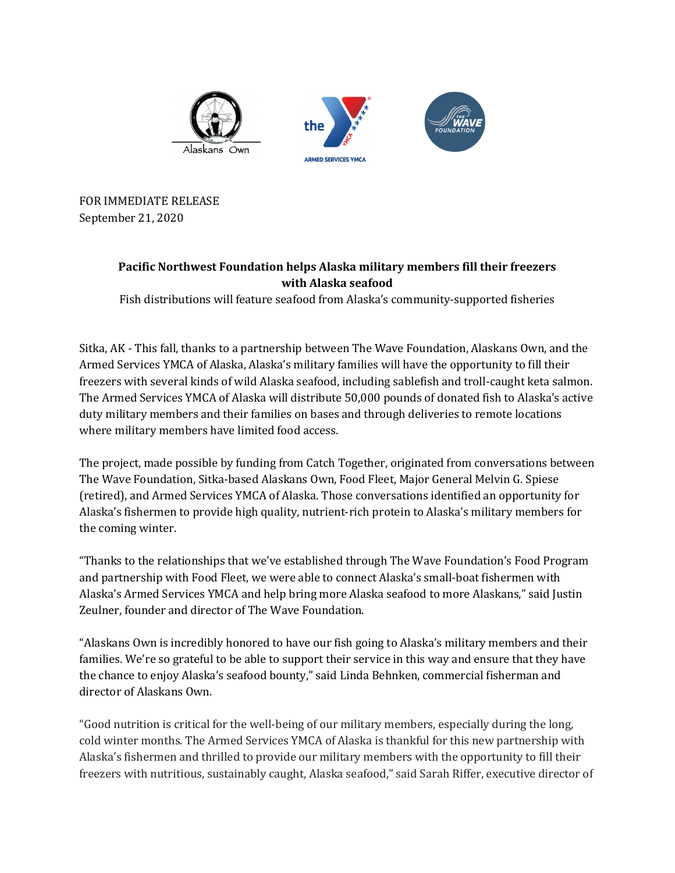





FOR IMMEDIATE RELEASE September 21, 2020

## **Pacific Northwest Foundation helps Alaska military members fill their freezers with Alaska seafood**

Fish distributions will feature seafood from Alaska's community-supported fisheries

Sitka, AK - This fall, thanks to a partnership between The Wave Foundation, Alaskans Own, and the Armed Services YMCA of Alaska, Alaska's military families will have the opportunity to fill their freezers with several kinds of wild Alaska seafood, including sablefish and troll-caught keta salmon. The Armed Services YMCA of Alaska will distribute 50,000 pounds of donated fish to Alaska's active duty military members and their families on bases and through deliveries to remote locations where military members have limited food access.

The project, made possible by funding from Catch Together, originated from conversations between The Wave Foundation, Sitka-based Alaskans Own, Food Fleet, Major General Melvin G. Spiese (retired), and Armed Services YMCA of Alaska. Those conversations identified an opportunity for Alaska's fishermen to provide high quality, nutrient-rich protein to Alaska's military members for the coming winter.

"Thanks to the relationships that we've established through The Wave Foundation's Food Program and partnership with Food Fleet, we were able to connect Alaska's small-boat fishermen with Alaska's Armed Services YMCA and help bring more Alaska seafood to more Alaskans," said Justin Zeulner, founder and director of The Wave Foundation.

"Alaskans Own is incredibly honored to have our fish going to Alaska's military members and their families. We're so grateful to be able to support their service in this way and ensure that they have the chance to enjoy Alaska's seafood bounty," said Linda Behnken, commercial fisherman and director of Alaskans Own.

"Good nutrition is critical for the well-being of our military members, especially during the long, cold winter months. The Armed Services YMCA of Alaska is thankful for this new partnership with Alaska's fishermen and thrilled to provide our military members with the opportunity to fill their freezers with nutritious, sustainably caught, Alaska seafood," said Sarah Riffer, executive director of